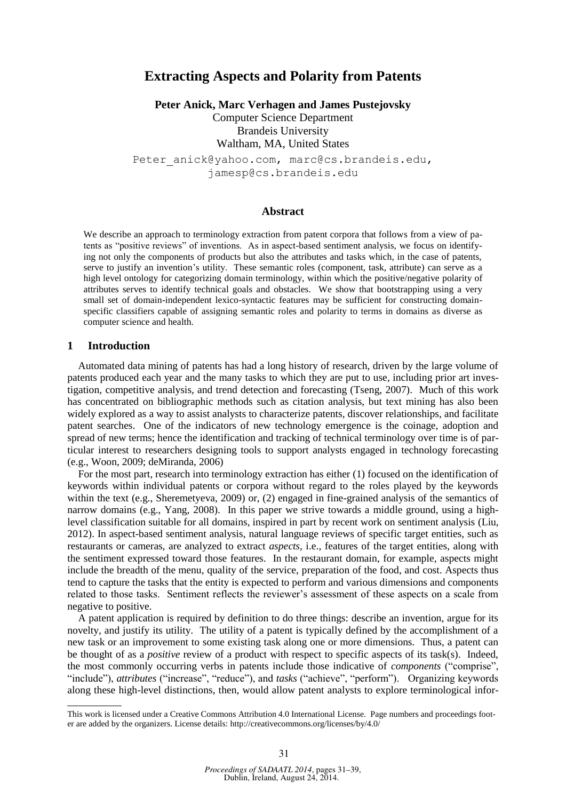# **Extracting Aspects and Polarity from Patents**

**Peter Anick, Marc Verhagen and James Pustejovsky**

Computer Science Department Brandeis University Waltham, MA, United States

Peter anick@yahoo.com, marc@cs.brandeis.edu, jamesp@cs.brandeis.edu

#### **Abstract**

We describe an approach to terminology extraction from patent corpora that follows from a view of patents as "positive reviews" of inventions. As in aspect-based sentiment analysis, we focus on identifying not only the components of products but also the attributes and tasks which, in the case of patents, serve to justify an invention's utility. These semantic roles (component, task, attribute) can serve as a high level ontology for categorizing domain terminology, within which the positive/negative polarity of attributes serves to identify technical goals and obstacles. We show that bootstrapping using a very small set of domain-independent lexico-syntactic features may be sufficient for constructing domainspecific classifiers capable of assigning semantic roles and polarity to terms in domains as diverse as computer science and health.

#### **1 Introduction**

Automated data mining of patents has had a long history of research, driven by the large volume of patents produced each year and the many tasks to which they are put to use, including prior art investigation, competitive analysis, and trend detection and forecasting (Tseng, 2007). Much of this work has concentrated on bibliographic methods such as citation analysis, but text mining has also been widely explored as a way to assist analysts to characterize patents, discover relationships, and facilitate patent searches. One of the indicators of new technology emergence is the coinage, adoption and spread of new terms; hence the identification and tracking of technical terminology over time is of particular interest to researchers designing tools to support analysts engaged in technology forecasting (e.g., Woon, 2009; deMiranda, 2006)

For the most part, research into terminology extraction has either (1) focused on the identification of keywords within individual patents or corpora without regard to the roles played by the keywords within the text (e.g., Sheremetyeva, 2009) or, (2) engaged in fine-grained analysis of the semantics of narrow domains (e.g., Yang, 2008). In this paper we strive towards a middle ground, using a highlevel classification suitable for all domains, inspired in part by recent work on sentiment analysis (Liu, 2012). In aspect-based sentiment analysis, natural language reviews of specific target entities, such as restaurants or cameras, are analyzed to extract *aspects,* i.e., features of the target entities, along with the sentiment expressed toward those features. In the restaurant domain, for example, aspects might include the breadth of the menu, quality of the service, preparation of the food, and cost. Aspects thus tend to capture the tasks that the entity is expected to perform and various dimensions and components related to those tasks. Sentiment reflects the reviewer's assessment of these aspects on a scale from negative to positive.

A patent application is required by definition to do three things: describe an invention, argue for its novelty, and justify its utility. The utility of a patent is typically defined by the accomplishment of a new task or an improvement to some existing task along one or more dimensions. Thus, a patent can be thought of as a *positive* review of a product with respect to specific aspects of its task(s). Indeed, the most commonly occurring verbs in patents include those indicative of *components* ("comprise", "include"), *attributes* ("increase", "reduce"), and *tasks* ("achieve", "perform"). Organizing keywords along these high-level distinctions, then, would allow patent analysts to explore terminological infor-

This work is licensed under a Creative Commons Attribution 4.0 International License. Page numbers and proceedings footer are added by the organizers. License details: http://creativecommons.org/licenses/by/4.0/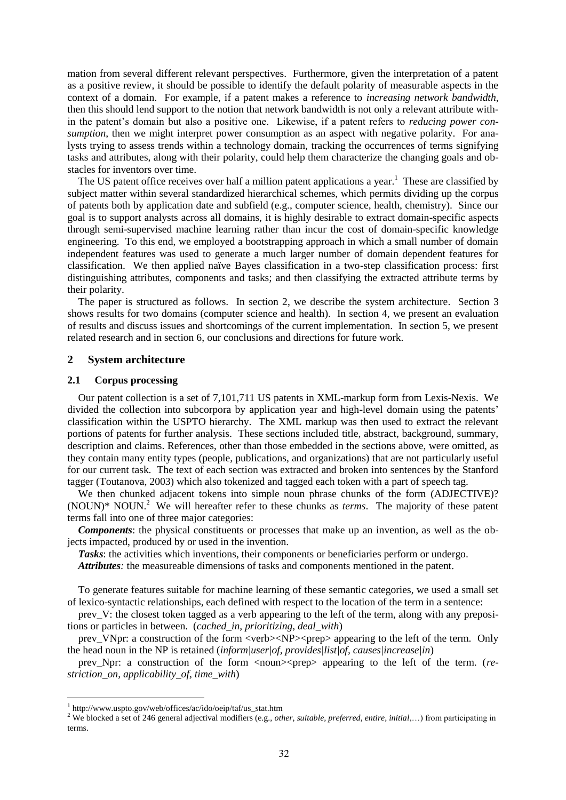mation from several different relevant perspectives. Furthermore, given the interpretation of a patent as a positive review, it should be possible to identify the default polarity of measurable aspects in the context of a domain. For example, if a patent makes a reference to *increasing network bandwidth*, then this should lend support to the notion that network bandwidth is not only a relevant attribute within the patent's domain but also a positive one. Likewise, if a patent refers to *reducing power consumption*, then we might interpret power consumption as an aspect with negative polarity. For analysts trying to assess trends within a technology domain, tracking the occurrences of terms signifying tasks and attributes, along with their polarity, could help them characterize the changing goals and obstacles for inventors over time.

The US patent office receives over half a million patent applications a year.<sup>1</sup> These are classified by subject matter within several standardized hierarchical schemes, which permits dividing up the corpus of patents both by application date and subfield (e.g., computer science, health, chemistry). Since our goal is to support analysts across all domains, it is highly desirable to extract domain-specific aspects through semi-supervised machine learning rather than incur the cost of domain-specific knowledge engineering. To this end, we employed a bootstrapping approach in which a small number of domain independent features was used to generate a much larger number of domain dependent features for classification. We then applied naïve Bayes classification in a two-step classification process: first distinguishing attributes, components and tasks; and then classifying the extracted attribute terms by their polarity.

The paper is structured as follows. In section 2, we describe the system architecture. Section 3 shows results for two domains (computer science and health). In section 4, we present an evaluation of results and discuss issues and shortcomings of the current implementation. In section 5, we present related research and in section 6, our conclusions and directions for future work.

# **2 System architecture**

#### **2.1 Corpus processing**

Our patent collection is a set of 7,101,711 US patents in XML-markup form from Lexis-Nexis. We divided the collection into subcorpora by application year and high-level domain using the patents' classification within the USPTO hierarchy. The XML markup was then used to extract the relevant portions of patents for further analysis. These sections included title, abstract, background, summary, description and claims. References, other than those embedded in the sections above, were omitted, as they contain many entity types (people, publications, and organizations) that are not particularly useful for our current task. The text of each section was extracted and broken into sentences by the Stanford tagger (Toutanova, 2003) which also tokenized and tagged each token with a part of speech tag.

We then chunked adjacent tokens into simple noun phrase chunks of the form (ADJECTIVE)?  $(NOUN)* NOUN.<sup>2</sup>$  We will hereafter refer to these chunks as *terms*. The majority of these patent terms fall into one of three major categories:

*Components*: the physical constituents or processes that make up an invention, as well as the objects impacted, produced by or used in the invention.

*Tasks*: the activities which inventions, their components or beneficiaries perform or undergo.

*Attributes:* the measureable dimensions of tasks and components mentioned in the patent.

To generate features suitable for machine learning of these semantic categories, we used a small set of lexico-syntactic relationships, each defined with respect to the location of the term in a sentence:

prev\_V: the closest token tagged as a verb appearing to the left of the term, along with any prepositions or particles in between. (*cached\_in, prioritizing, deal\_with*)

prev\_VNpr: a construction of the form <verb><NP><prep> appearing to the left of the term. Only the head noun in the NP is retained (*inform|user|of, provides|list|of, causes|increase|in*)

prev Npr: a construction of the form  $\langle \text{noun}\rangle \langle \text{prep}\rangle$  appearing to the left of the term. (*restriction\_on, applicability\_of, time\_with*)

<sup>1</sup> http://www.uspto.gov/web/offices/ac/ido/oeip/taf/us\_stat.htm

<sup>&</sup>lt;sup>2</sup> We blocked a set of 246 general adjectival modifiers (e.g., *other, suitable, preferred, entire, initial,...*) from participating in terms.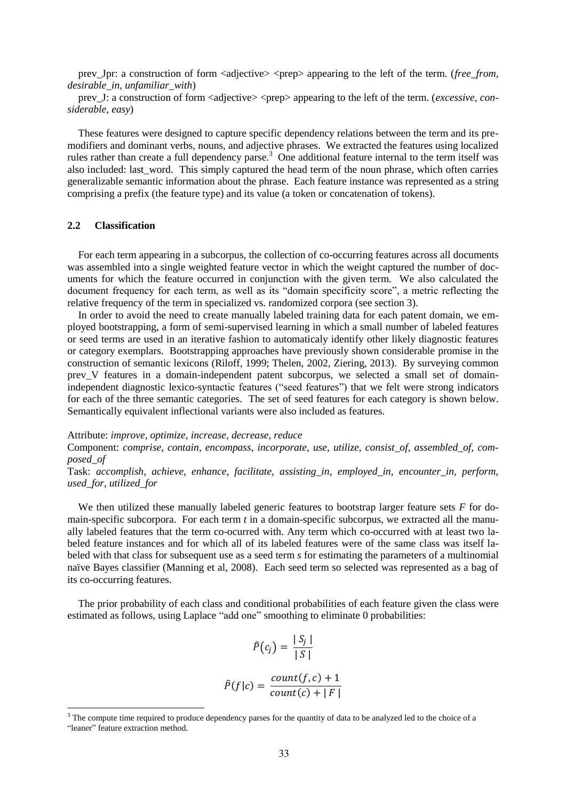prev\_Jpr: a construction of form <adjective> <prep> appearing to the left of the term. (*free\_from, desirable\_in, unfamiliar\_with*)

prev\_J: a construction of form <adjective> <prep> appearing to the left of the term. (*excessive, considerable, easy*)

These features were designed to capture specific dependency relations between the term and its premodifiers and dominant verbs, nouns, and adjective phrases. We extracted the features using localized rules rather than create a full dependency parse.<sup>3</sup> One additional feature internal to the term itself was also included: last\_word. This simply captured the head term of the noun phrase, which often carries generalizable semantic information about the phrase. Each feature instance was represented as a string comprising a prefix (the feature type) and its value (a token or concatenation of tokens).

# **2.2 Classification**

For each term appearing in a subcorpus, the collection of co-occurring features across all documents was assembled into a single weighted feature vector in which the weight captured the number of documents for which the feature occurred in conjunction with the given term. We also calculated the document frequency for each term, as well as its "domain specificity score", a metric reflecting the relative frequency of the term in specialized vs. randomized corpora (see section 3).

In order to avoid the need to create manually labeled training data for each patent domain, we employed bootstrapping, a form of semi-supervised learning in which a small number of labeled features or seed terms are used in an iterative fashion to automaticaly identify other likely diagnostic features or category exemplars. Bootstrapping approaches have previously shown considerable promise in the construction of semantic lexicons (Riloff, 1999; Thelen, 2002, Ziering, 2013). By surveying common prev V features in a domain-independent patent subcorpus, we selected a small set of domainindependent diagnostic lexico-syntactic features ("seed features") that we felt were strong indicators for each of the three semantic categories. The set of seed features for each category is shown below. Semantically equivalent inflectional variants were also included as features.

Attribute: *improve, optimize, increase, decrease, reduce*

Component: *comprise, contain, encompass, incorporate, use, utilize, consist\_of, assembled\_of, composed\_of*

Task: *accomplish, achieve, enhance, facilitate, assisting\_in, employed\_in, encounter\_in, perform, used\_for, utilized\_for*

We then utilized these manually labeled generic features to bootstrap larger feature sets *F* for domain-specific subcorpora. For each term *t* in a domain-specific subcorpus, we extracted all the manually labeled features that the term co-ocurred with. Any term which co-occurred with at least two labeled feature instances and for which all of its labeled features were of the same class was itself labeled with that class for subsequent use as a seed term *s* for estimating the parameters of a multinomial naïve Bayes classifier (Manning et al, 2008). Each seed term so selected was represented as a bag of its co-occurring features.

The prior probability of each class and conditional probabilities of each feature given the class were estimated as follows, using Laplace "add one" smoothing to eliminate 0 probabilities:

$$
\hat{P}(c_j) = \frac{|S_j|}{|S|}
$$

$$
\hat{P}(f|c) = \frac{count(f, c) + 1}{count(c) + |F|}
$$

<sup>&</sup>lt;sup>3</sup> The compute time required to produce dependency parses for the quantity of data to be analyzed led to the choice of a "leaner" feature extraction method.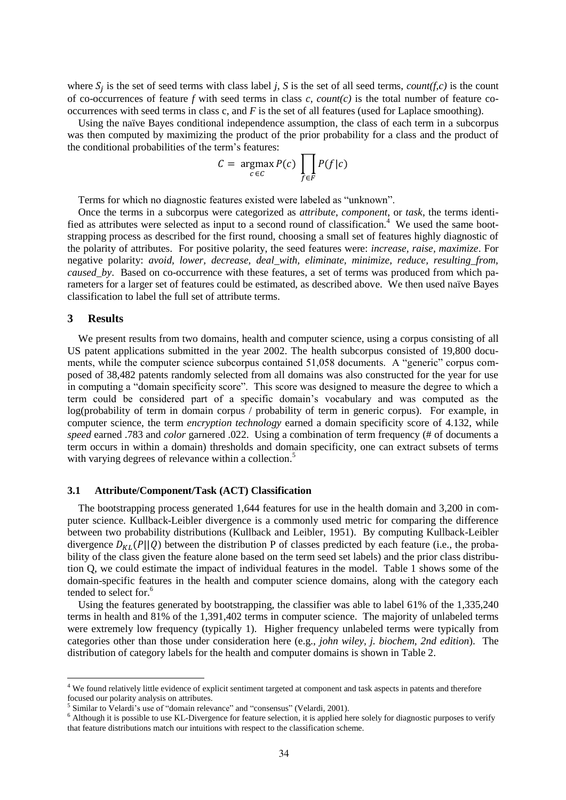where  $S_i$  is the set of seed terms with class label *j*, *S* is the set of all seed terms, *count(f,c)* is the count of co-occurrences of feature *f* with seed terms in class *c*, *count(c)* is the total number of feature cooccurrences with seed terms in class c, and *F* is the set of all features (used for Laplace smoothing).

Using the naïve Bayes conditional independence assumption, the class of each term in a subcorpus was then computed by maximizing the product of the prior probability for a class and the product of the conditional probabilities of the term's features:

$$
C = \underset{c \in C}{\text{argmax}} P(c) \prod_{f \in F} P(f|c)
$$

Terms for which no diagnostic features existed were labeled as "unknown".

Once the terms in a subcorpus were categorized as *attribute*, *component*, or *task*, the terms identified as attributes were selected as input to a second round of classification.<sup>4</sup> We used the same bootstrapping process as described for the first round, choosing a small set of features highly diagnostic of the polarity of attributes. For positive polarity, the seed features were: *increase, raise, maximize*. For negative polarity: *avoid, lower, decrease, deal\_with, eliminate, minimize, reduce, resulting\_from, caused* by. Based on co-occurrence with these features, a set of terms was produced from which parameters for a larger set of features could be estimated, as described above. We then used naïve Bayes classification to label the full set of attribute terms.

# **3 Results**

We present results from two domains, health and computer science, using a corpus consisting of all US patent applications submitted in the year 2002. The health subcorpus consisted of 19,800 documents, while the computer science subcorpus contained 51,058 documents. A "generic" corpus composed of 38,482 patents randomly selected from all domains was also constructed for the year for use in computing a "domain specificity score". This score was designed to measure the degree to which a term could be considered part of a specific domain's vocabulary and was computed as the log(probability of term in domain corpus / probability of term in generic corpus). For example, in computer science, the term *encryption technology* earned a domain specificity score of 4.132, while *speed* earned .783 and *color* garnered .022. Using a combination of term frequency (# of documents a term occurs in within a domain) thresholds and domain specificity, one can extract subsets of terms with varying degrees of relevance within a collection.<sup>5</sup>

#### **3.1 Attribute/Component/Task (ACT) Classification**

The bootstrapping process generated 1,644 features for use in the health domain and 3,200 in computer science. Kullback-Leibler divergence is a commonly used metric for comparing the difference between two probability distributions (Kullback and Leibler, 1951). By computing Kullback-Leibler divergence  $D_{KL}(P||Q)$  between the distribution P of classes predicted by each feature (i.e., the probability of the class given the feature alone based on the term seed set labels) and the prior class distribution Q, we could estimate the impact of individual features in the model. Table 1 shows some of the domain-specific features in the health and computer science domains, along with the category each tended to select for.<sup>6</sup>

Using the features generated by bootstrapping, the classifier was able to label 61% of the 1,335,240 terms in health and 81% of the 1,391,402 terms in computer science. The majority of unlabeled terms were extremely low frequency (typically 1). Higher frequency unlabeled terms were typically from categories other than those under consideration here (e.g., *john wiley, j. biochem, 2nd edition*). The distribution of category labels for the health and computer domains is shown in Table 2.

<sup>&</sup>lt;sup>4</sup> We found relatively little evidence of explicit sentiment targeted at component and task aspects in patents and therefore focused our polarity analysis on attributes.

<sup>&</sup>lt;sup>5</sup> Similar to Velardi's use of "domain relevance" and "consensus" (Velardi, 2001).

<sup>&</sup>lt;sup>6</sup> Although it is possible to use KL-Divergence for feature selection, it is applied here solely for diagnostic purposes to verify that feature distributions match our intuitions with respect to the classification scheme.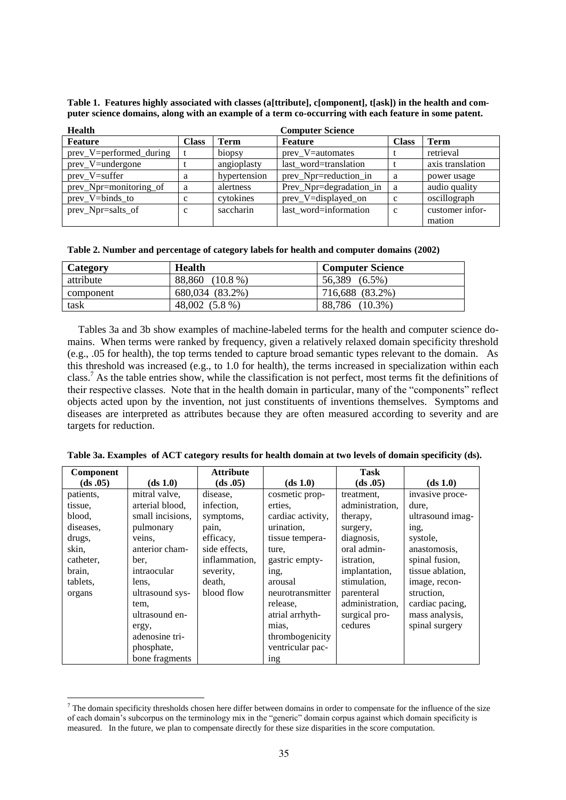| <b>Health</b>           | <b>Computer Science</b> |              |                         |              |                  |  |  |  |
|-------------------------|-------------------------|--------------|-------------------------|--------------|------------------|--|--|--|
| <b>Feature</b>          | <b>Class</b>            | <b>Term</b>  | Feature                 | <b>Class</b> | <b>Term</b>      |  |  |  |
| prev_V=performed_during |                         | biopsy       | prev_V=automates        |              | retrieval        |  |  |  |
| prev_V=undergone        |                         | angioplasty  | last word=translation   |              | axis translation |  |  |  |
| prev V=suffer           | a                       | hypertension | prev_Npr=reduction in   | a            | power usage      |  |  |  |
| prev_Npr=monitoring_of  | a                       | alertness    | Prev_Npr=degradation_in | a            | audio quality    |  |  |  |
| prev V=binds to         | $\mathbf c$             | cytokines    | prev_V=displayed_on     | C            | oscillograph     |  |  |  |
| prev_Npr=salts_of       | C                       | saccharin    | last word=information   | C            | customer infor-  |  |  |  |
|                         |                         |              |                         |              | mation           |  |  |  |

**Table 1. Features highly associated with classes (a[ttribute], c[omponent], t[ask]) in the health and computer science domains, along with an example of a term co-occurring with each feature in some patent.**

|  | Table 2. Number and percentage of category labels for health and computer domains (2002) |  |  |  |  |  |
|--|------------------------------------------------------------------------------------------|--|--|--|--|--|

| Category  | <b>Health</b>   | <b>Computer Science</b> |
|-----------|-----------------|-------------------------|
| attribute | 88,860 (10.8 %) | 56,389 (6.5%)           |
| component | 680,034 (83.2%) | 716,688 (83.2%)         |
| task      | 48,002 (5.8 %)  | 88,786 (10.3%)          |

Tables 3a and 3b show examples of machine-labeled terms for the health and computer science domains. When terms were ranked by frequency, given a relatively relaxed domain specificity threshold (e.g., .05 for health), the top terms tended to capture broad semantic types relevant to the domain. As this threshold was increased (e.g., to 1.0 for health), the terms increased in specialization within each class.<sup>7</sup> As the table entries show, while the classification is not perfect, most terms fit the definitions of their respective classes. Note that in the health domain in particular, many of the "components" reflect objects acted upon by the invention, not just constituents of inventions themselves. Symptoms and diseases are interpreted as attributes because they are often measured according to severity and are targets for reduction.

| Component |                  | <b>Attribute</b> |                   | <b>Task</b>       |                  |
|-----------|------------------|------------------|-------------------|-------------------|------------------|
| (ds .05)  | (ds 1.0)         | (ds .05)         | (ds 1.0)          | (ds .05)          | (ds 1.0)         |
| patients. | mitral valve,    | disease,         | cosmetic prop-    | treatment,        | invasive proce-  |
| tissue,   | arterial blood,  | infection.       | erties.           | administration,   | dure.            |
| blood,    | small incisions, | symptoms,        | cardiac activity, | therapy,          | ultrasound imag- |
| diseases. | pulmonary        | pain,            | urination,        | surgery,          | ing,             |
| drugs,    | veins,           | efficacy,        | tissue tempera-   | diagnosis,        | systole,         |
| skin,     | anterior cham-   | side effects,    | ture,             | oral admin-       | anastomosis.     |
| catheter, | ber,             | inflammation.    | gastric empty-    | <i>istration.</i> | spinal fusion,   |
| brain,    | intraocular      | severity,        | ing,              | implantation,     | tissue ablation, |
| tablets.  | lens,            | death,           | arousal           | stimulation,      | image, recon-    |
| organs    | ultrasound sys-  | blood flow       | neurotransmitter  | parenteral        | struction,       |
|           | tem,             |                  | release.          | administration,   | cardiac pacing,  |
|           | ultrasound en-   |                  | atrial arrhyth-   | surgical pro-     | mass analysis,   |
|           | ergy,            |                  | mias,             | cedures           | spinal surgery   |
|           | adenosine tri-   |                  | thrombogenicity   |                   |                  |
|           | phosphate,       |                  | ventricular pac-  |                   |                  |
|           | bone fragments   |                  | <sub>1</sub> ng   |                   |                  |

**Table 3a. Examples of ACT category results for health domain at two levels of domain specificity (ds).**

 $<sup>7</sup>$  The domain specificity thresholds chosen here differ between domains in order to compensate for the influence of the size</sup> of each domain's subcorpus on the terminology mix in the "generic" domain corpus against which domain specificity is measured. In the future, we plan to compensate directly for these size disparities in the score computation.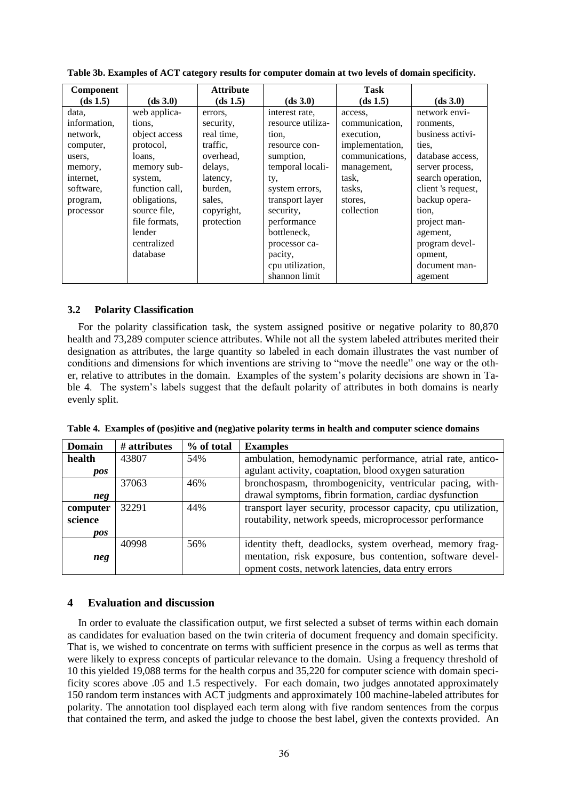| <b>Component</b> |                | <b>Attribute</b> |                   | Task            |                    |
|------------------|----------------|------------------|-------------------|-----------------|--------------------|
| (ds 1.5)         | (ds 3.0)       | (ds 1.5)         | (ds 3.0)          | (ds 1.5)        | (ds 3.0)           |
| data,            | web applica-   | errors.          | interest rate.    | access.         | network envi-      |
| information,     | tions.         | security,        | resource utiliza- | communication,  | ronments,          |
| network,         | object access  | real time,       | tion,             | execution.      | business activi-   |
| computer,        | protocol.      | traffic.         | resource con-     | implementation, | ties.              |
| users.           | loans,         | overhead,        | sumption,         | communications, | database access.   |
| memory,          | memory sub-    | delays,          | temporal locali-  | management,     | server process,    |
| internet.        | system,        | latency,         | ty,               | task,           | search operation,  |
| software,        | function call. | burden,          | system errors,    | tasks,          | client 's request, |
| program,         | obligations,   | sales.           | transport layer   | stores.         | backup opera-      |
| processor        | source file.   | copyright,       | security,         | collection      | tion,              |
|                  | file formats.  | protection       | performance       |                 | project man-       |
|                  | lender         |                  | bottleneck.       |                 | agement,           |
|                  | centralized    |                  | processor ca-     |                 | program devel-     |
|                  | database       |                  | pacity,           |                 | opment,            |
|                  |                |                  | cpu utilization,  |                 | document man-      |
|                  |                |                  | shannon limit     |                 | agement            |

**Table 3b. Examples of ACT category results for computer domain at two levels of domain specificity.**

# **3.2 Polarity Classification**

For the polarity classification task, the system assigned positive or negative polarity to 80,870 health and 73,289 computer science attributes. While not all the system labeled attributes merited their designation as attributes, the large quantity so labeled in each domain illustrates the vast number of conditions and dimensions for which inventions are striving to "move the needle" one way or the other, relative to attributes in the domain. Examples of the system's polarity decisions are shown in Table 4. The system's labels suggest that the default polarity of attributes in both domains is nearly evenly split.

**Table 4. Examples of (pos)itive and (neg)ative polarity terms in health and computer science domains**

| <b>Domain</b> | # attributes | % of total | <b>Examples</b>                                                |
|---------------|--------------|------------|----------------------------------------------------------------|
| health        | 43807        | 54%        | ambulation, hemodynamic performance, atrial rate, antico-      |
| pos           |              |            | agulant activity, coaptation, blood oxygen saturation          |
|               | 37063        | 46%        | bronchospasm, thrombogenicity, ventricular pacing, with-       |
| neg           |              |            | drawal symptoms, fibrin formation, cardiac dysfunction         |
| computer      | 32291        | 44%        | transport layer security, processor capacity, cpu utilization, |
| science       |              |            | routability, network speeds, microprocessor performance        |
| <i>pos</i>    |              |            |                                                                |
|               | 40998        | 56%        | identity theft, deadlocks, system overhead, memory frag-       |
| neg           |              |            | mentation, risk exposure, bus contention, software devel-      |
|               |              |            | opment costs, network latencies, data entry errors             |

# **4 Evaluation and discussion**

In order to evaluate the classification output, we first selected a subset of terms within each domain as candidates for evaluation based on the twin criteria of document frequency and domain specificity. That is, we wished to concentrate on terms with sufficient presence in the corpus as well as terms that were likely to express concepts of particular relevance to the domain. Using a frequency threshold of 10 this yielded 19,088 terms for the health corpus and 35,220 for computer science with domain specificity scores above .05 and 1.5 respectively. For each domain, two judges annotated approximately 150 random term instances with ACT judgments and approximately 100 machine-labeled attributes for polarity. The annotation tool displayed each term along with five random sentences from the corpus that contained the term, and asked the judge to choose the best label, given the contexts provided. An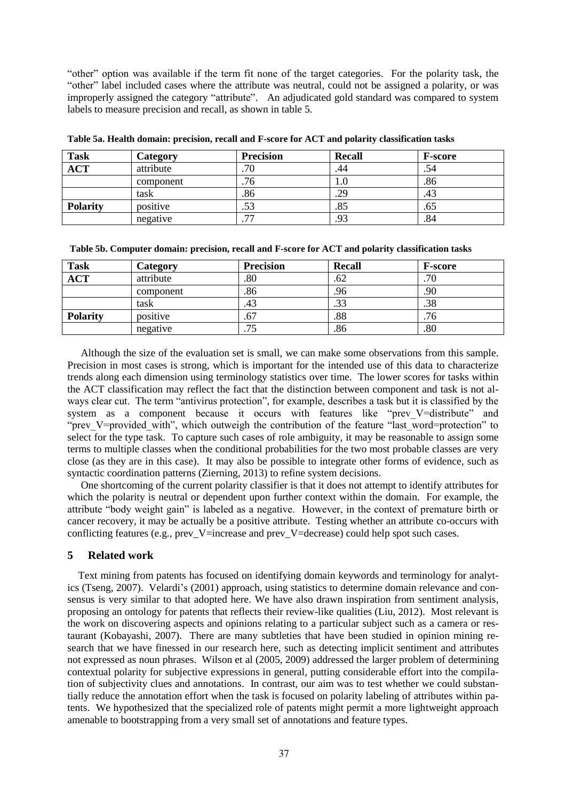"other" option was available if the term fit none of the target categories. For the polarity task, the "other" label included cases where the attribute was neutral, could not be assigned a polarity, or was improperly assigned the category "attribute". An adjudicated gold standard was compared to system labels to measure precision and recall, as shown in table 5.

| <b>Task</b>     | Category  | <b>Precision</b>         | <b>Recall</b> | <b>F-score</b> |
|-----------------|-----------|--------------------------|---------------|----------------|
| <b>ACT</b>      | attribute | .70                      | 44            | .54            |
|                 | component | .76                      | U             | .86            |
|                 | task      | .86                      | .29           | .43            |
| <b>Polarity</b> | positive  | .53                      | .85           | .63            |
|                 | negative  | $\overline{\phantom{a}}$ | .93           | .84            |

**Table 5a. Health domain: precision, recall and F-score for ACT and polarity classification tasks**

|  |  |  |  | Table 5b. Computer domain: precision, recall and F-score for ACT and polarity classification tasks |  |
|--|--|--|--|----------------------------------------------------------------------------------------------------|--|

| <b>Task</b>     | Category  | <b>Precision</b> | <b>Recall</b> | <b>F-score</b> |
|-----------------|-----------|------------------|---------------|----------------|
| <b>ACT</b>      | attribute | .80              | .62           | .70            |
|                 | component | .86              | .96           | .90            |
|                 | task      | 43               | .33           | .38            |
| <b>Polarity</b> | positive  | .67              | .88           | .76            |
|                 | negative  | .75              | .86           | .80            |

Although the size of the evaluation set is small, we can make some observations from this sample. Precision in most cases is strong, which is important for the intended use of this data to characterize trends along each dimension using terminology statistics over time. The lower scores for tasks within the ACT classification may reflect the fact that the distinction between component and task is not always clear cut. The term "antivirus protection", for example, describes a task but it is classified by the system as a component because it occurs with features like "prev V=distribute" and "prev\_V=provided\_with", which outweigh the contribution of the feature "last\_word=protection" to select for the type task. To capture such cases of role ambiguity, it may be reasonable to assign some terms to multiple classes when the conditional probabilities for the two most probable classes are very close (as they are in this case). It may also be possible to integrate other forms of evidence, such as syntactic coordination patterns (Zierning, 2013) to refine system decisions.

One shortcoming of the current polarity classifier is that it does not attempt to identify attributes for which the polarity is neutral or dependent upon further context within the domain. For example, the attribute "body weight gain" is labeled as a negative. However, in the context of premature birth or cancer recovery, it may be actually be a positive attribute. Testing whether an attribute co-occurs with conflicting features (e.g., prev\_V=increase and prev\_V=decrease) could help spot such cases.

# **5 Related work**

Text mining from patents has focused on identifying domain keywords and terminology for analytics (Tseng, 2007). Velardi's (2001) approach, using statistics to determine domain relevance and consensus is very similar to that adopted here. We have also drawn inspiration from sentiment analysis, proposing an ontology for patents that reflects their review-like qualities (Liu, 2012). Most relevant is the work on discovering aspects and opinions relating to a particular subject such as a camera or restaurant (Kobayashi, 2007). There are many subtleties that have been studied in opinion mining research that we have finessed in our research here, such as detecting implicit sentiment and attributes not expressed as noun phrases. Wilson et al (2005, 2009) addressed the larger problem of determining contextual polarity for subjective expressions in general, putting considerable effort into the compilation of subjectivity clues and annotations. In contrast, our aim was to test whether we could substantially reduce the annotation effort when the task is focused on polarity labeling of attributes within patents. We hypothesized that the specialized role of patents might permit a more lightweight approach amenable to bootstrapping from a very small set of annotations and feature types.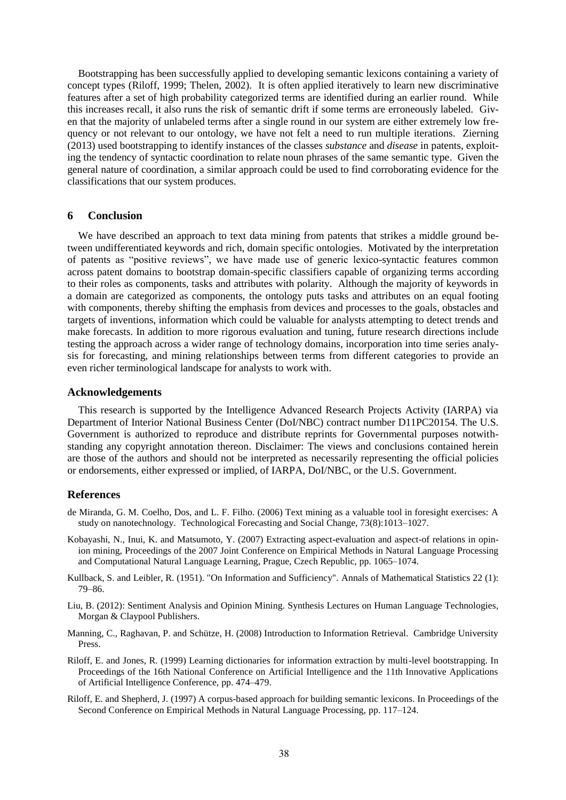Bootstrapping has been successfully applied to developing semantic lexicons containing a variety of concept types (Riloff, 1999; Thelen, 2002). It is often applied iteratively to learn new discriminative features after a set of high probability categorized terms are identified during an earlier round. While this increases recall, it also runs the risk of semantic drift if some terms are erroneously labeled. Given that the majority of unlabeled terms after a single round in our system are either extremely low frequency or not relevant to our ontology, we have not felt a need to run multiple iterations. Zierning (2013) used bootstrapping to identify instances of the classes *substance* and *disease* in patents, exploiting the tendency of syntactic coordination to relate noun phrases of the same semantic type. Given the general nature of coordination, a similar approach could be used to find corroborating evidence for the classifications that our system produces.

## **6 Conclusion**

We have described an approach to text data mining from patents that strikes a middle ground between undifferentiated keywords and rich, domain specific ontologies. Motivated by the interpretation of patents as "positive reviews", we have made use of generic lexico-syntactic features common across patent domains to bootstrap domain-specific classifiers capable of organizing terms according to their roles as components, tasks and attributes with polarity. Although the majority of keywords in a domain are categorized as components, the ontology puts tasks and attributes on an equal footing with components, thereby shifting the emphasis from devices and processes to the goals, obstacles and targets of inventions, information which could be valuable for analysts attempting to detect trends and make forecasts. In addition to more rigorous evaluation and tuning, future research directions include testing the approach across a wider range of technology domains, incorporation into time series analysis for forecasting, and mining relationships between terms from different categories to provide an even richer terminological landscape for analysts to work with.

## **Acknowledgements**

This research is supported by the Intelligence Advanced Research Projects Activity (IARPA) via Department of Interior National Business Center (DoI/NBC) contract number D11PC20154. The U.S. Government is authorized to reproduce and distribute reprints for Governmental purposes notwithstanding any copyright annotation thereon. Disclaimer: The views and conclusions contained herein are those of the authors and should not be interpreted as necessarily representing the official policies or endorsements, either expressed or implied, of IARPA, DoI/NBC, or the U.S. Government.

## **References**

- de Miranda, G. M. Coelho, Dos, and L. F. Filho. (2006) Text mining as a valuable tool in foresight exercises: A study on nanotechnology. Technological Forecasting and Social Change, 73(8):1013–1027.
- Kobayashi, N., Inui, K. and Matsumoto, Y. (2007) Extracting aspect-evaluation and aspect-of relations in opinion mining, Proceedings of the 2007 Joint Conference on Empirical Methods in Natural Language Processing and Computational Natural Language Learning, Prague, Czech Republic, pp. 1065–1074.
- Kullback, S. and Leibler, R. (1951). "On Information and Sufficiency". Annals of Mathematical Statistics 22 (1): 79–86.
- Liu, B. (2012): Sentiment Analysis and Opinion Mining. Synthesis Lectures on Human Language Technologies, Morgan & Claypool Publishers.
- Manning, C., Raghavan, P. and Schütze, H. (2008) Introduction to Information Retrieval. Cambridge University Press.
- Riloff, E. and Jones, R. (1999) Learning dictionaries for information extraction by multi-level bootstrapping. In Proceedings of the 16th National Conference on Artificial Intelligence and the 11th Innovative Applications of Artificial Intelligence Conference, pp. 474–479.
- Riloff, E. and Shepherd, J. (1997) A corpus-based approach for building semantic lexicons. In Proceedings of the Second Conference on Empirical Methods in Natural Language Processing, pp. 117–124.